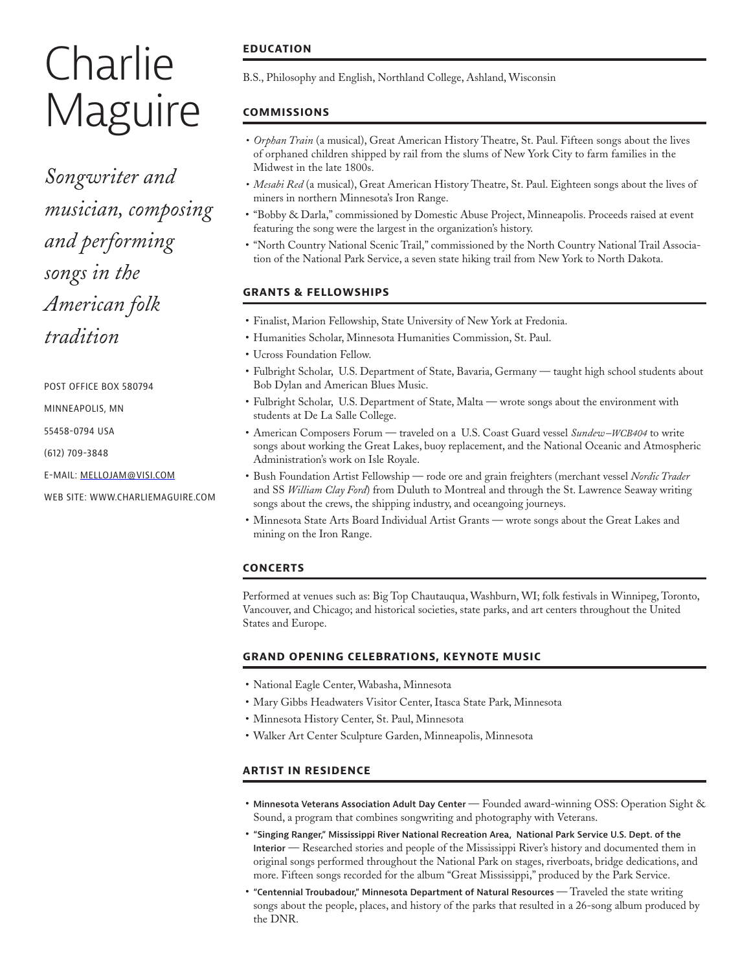# **Charlie** Maguire

*Songwriter and musician, composing and performing songs in the American folk tradition*

POST OFFICE BOX 580794

MINNEAPOLIS, MN

55458-0794 USA

(612) 709-3848

E-MAIL: MELLOJAM@VISI.COM

WEB SITE: WWW.CHARLIEMAGUIRE.COM

# **EDUCATION**

B.S., Philosophy and English, Northland College, Ashland, Wisconsin

# **COMMISSIONS**

- *• Orphan Train* (a musical), Great American History Theatre, St. Paul. Fifteen songs about the lives of orphaned children shipped by rail from the slums of New York City to farm families in the Midwest in the late 1800s.
- *• Mesabi Red* (a musical), Great American History Theatre, St. Paul. Eighteen songs about the lives of miners in northern Minnesota's Iron Range.
- "Bobby & Darla," commissioned by Domestic Abuse Project, Minneapolis. Proceeds raised at event featuring the song were the largest in the organization's history.
- "North Country National Scenic Trail," commissioned by the North Country National Trail Association of the National Park Service, a seven state hiking trail from New York to North Dakota.

## **GRANTS & FELLOWSHIPS**

- Finalist, Marion Fellowship, State University of New York at Fredonia.
- Humanities Scholar, Minnesota Humanities Commission, St. Paul.
- Ucross Foundation Fellow.
- Fulbright Scholar, U.S. Department of State, Bavaria, Germany taught high school students about Bob Dylan and American Blues Music.
- Fulbright Scholar, U.S. Department of State, Malta wrote songs about the environment with students at De La Salle College.
- American Composers Forum traveled on a U.S. Coast Guard vessel *Sundew–WCB404* to write songs about working the Great Lakes, buoy replacement, and the National Oceanic and Atmospheric Administration's work on Isle Royale.
- Bush Foundation Artist Fellowship rode ore and grain freighters (merchant vessel *Nordic Trader* and SS *William Clay Ford*) from Duluth to Montreal and through the St. Lawrence Seaway writing songs about the crews, the shipping industry, and oceangoing journeys.
- Minnesota State Arts Board Individual Artist Grants wrote songs about the Great Lakes and mining on the Iron Range.

## **CONCERTS**

Performed at venues such as: Big Top Chautauqua, Washburn, WI; folk festivals in Winnipeg, Toronto, Vancouver, and Chicago; and historical societies, state parks, and art centers throughout the United States and Europe.

## **GRAND OPENING CELEBRATIONS, KEYNOTE MUSIC**

- National Eagle Center, Wabasha, Minnesota
- Mary Gibbs Headwaters Visitor Center, Itasca State Park, Minnesota
- Minnesota History Center, St. Paul, Minnesota
- Walker Art Center Sculpture Garden, Minneapolis, Minnesota

## **ARTIST IN RESIDENCE**

- **Minnesota Veterans Association Adult Day Center**  Founded award-winning OSS: Operation Sight & Sound, a program that combines songwriting and photography with Veterans.
- **"Singing Ranger," Mississippi River National Recreation Area, National Park Service U.S. Dept. of the Interior** — Researched stories and people of the Mississippi River's history and documented them in original songs performed throughout the National Park on stages, riverboats, bridge dedications, and more. Fifteen songs recorded for the album "Great Mississippi," produced by the Park Service.
- **"Centennial Troubadour," Minnesota Department of Natural Resources**  Traveled the state writing songs about the people, places, and history of the parks that resulted in a 26-song album produced by the DNR.